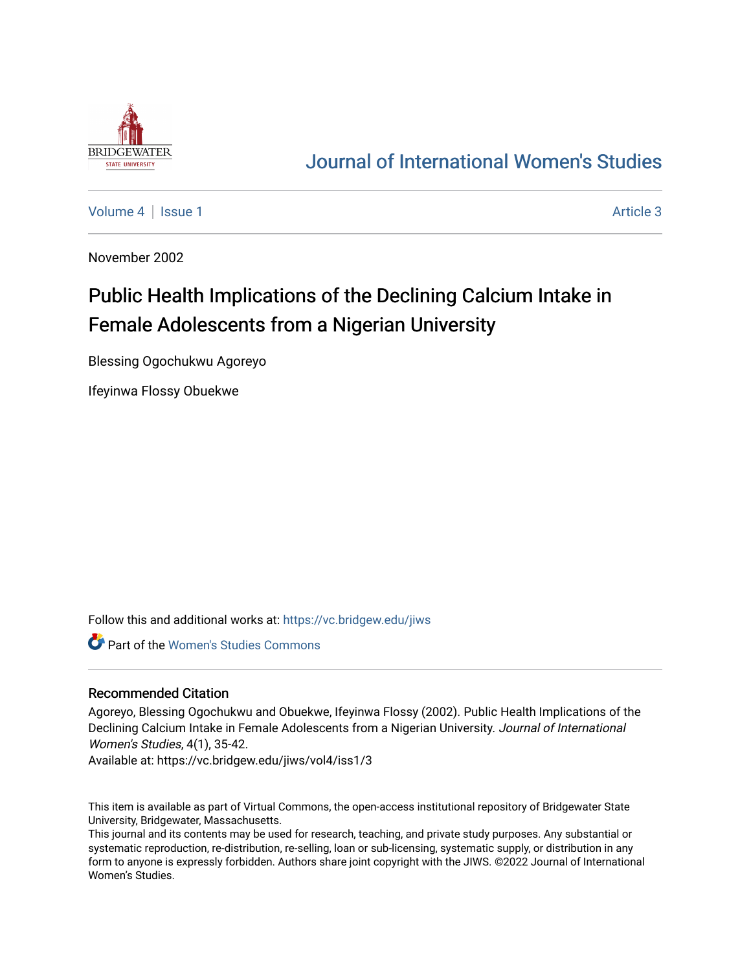

# [Journal of International Women's Studies](https://vc.bridgew.edu/jiws)

[Volume 4](https://vc.bridgew.edu/jiws/vol4) | [Issue 1](https://vc.bridgew.edu/jiws/vol4/iss1) Article 3

November 2002

# Public Health Implications of the Declining Calcium Intake in Female Adolescents from a Nigerian University

Blessing Ogochukwu Agoreyo

Ifeyinwa Flossy Obuekwe

Follow this and additional works at: [https://vc.bridgew.edu/jiws](https://vc.bridgew.edu/jiws?utm_source=vc.bridgew.edu%2Fjiws%2Fvol4%2Fiss1%2F3&utm_medium=PDF&utm_campaign=PDFCoverPages)

Part of the [Women's Studies Commons](http://network.bepress.com/hgg/discipline/561?utm_source=vc.bridgew.edu%2Fjiws%2Fvol4%2Fiss1%2F3&utm_medium=PDF&utm_campaign=PDFCoverPages) 

#### Recommended Citation

Agoreyo, Blessing Ogochukwu and Obuekwe, Ifeyinwa Flossy (2002). Public Health Implications of the Declining Calcium Intake in Female Adolescents from a Nigerian University. Journal of International Women's Studies, 4(1), 35-42.

Available at: https://vc.bridgew.edu/jiws/vol4/iss1/3

This item is available as part of Virtual Commons, the open-access institutional repository of Bridgewater State University, Bridgewater, Massachusetts.

This journal and its contents may be used for research, teaching, and private study purposes. Any substantial or systematic reproduction, re-distribution, re-selling, loan or sub-licensing, systematic supply, or distribution in any form to anyone is expressly forbidden. Authors share joint copyright with the JIWS. ©2022 Journal of International Women's Studies.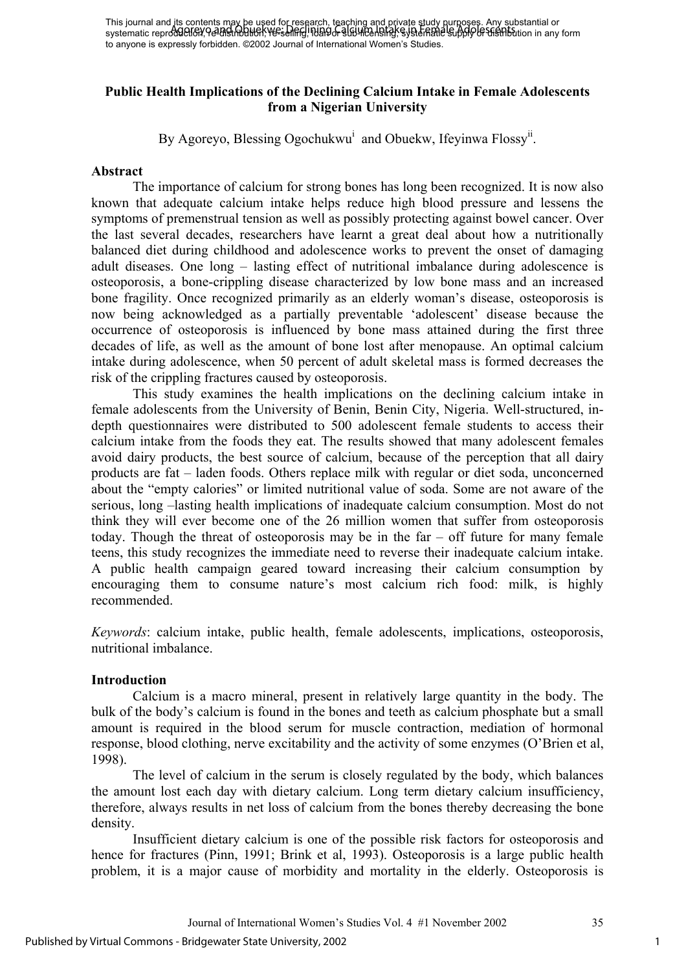### **Public Health Implications of the Declining Calcium Intake in Female Adolescents from a Nigerian University**

By Agoreyo, Blessing Ogochukwu<sup>i</sup> and Obuekw, Ifeyinwa Flossy<sup>ii</sup>.

#### **Abstract**

The importance of calcium for strong bones has long been recognized. It is now also known that adequate calcium intake helps reduce high blood pressure and lessens the symptoms of premenstrual tension as well as possibly protecting against bowel cancer. Over the last several decades, researchers have learnt a great deal about how a nutritionally balanced diet during childhood and adolescence works to prevent the onset of damaging adult diseases. One long – lasting effect of nutritional imbalance during adolescence is osteoporosis, a bone-crippling disease characterized by low bone mass and an increased bone fragility. Once recognized primarily as an elderly woman's disease, osteoporosis is now being acknowledged as a partially preventable 'adolescent' disease because the occurrence of osteoporosis is influenced by bone mass attained during the first three decades of life, as well as the amount of bone lost after menopause. An optimal calcium intake during adolescence, when 50 percent of adult skeletal mass is formed decreases the risk of the crippling fractures caused by osteoporosis.

This study examines the health implications on the declining calcium intake in female adolescents from the University of Benin, Benin City, Nigeria. Well-structured, indepth questionnaires were distributed to 500 adolescent female students to access their calcium intake from the foods they eat. The results showed that many adolescent females avoid dairy products, the best source of calcium, because of the perception that all dairy products are fat – laden foods. Others replace milk with regular or diet soda, unconcerned about the "empty calories" or limited nutritional value of soda. Some are not aware of the serious, long –lasting health implications of inadequate calcium consumption. Most do not think they will ever become one of the 26 million women that suffer from osteoporosis today. Though the threat of osteoporosis may be in the far – off future for many female teens, this study recognizes the immediate need to reverse their inadequate calcium intake. A public health campaign geared toward increasing their calcium consumption by encouraging them to consume nature's most calcium rich food: milk, is highly recommended.

*Keywords*: calcium intake, public health, female adolescents, implications, osteoporosis, nutritional imbalance.

# **Introduction**

Calcium is a macro mineral, present in relatively large quantity in the body. The bulk of the body's calcium is found in the bones and teeth as calcium phosphate but a small amount is required in the blood serum for muscle contraction, mediation of hormonal response, blood clothing, nerve excitability and the activity of some enzymes (O'Brien et al, 1998).

The level of calcium in the serum is closely regulated by the body, which balances the amount lost each day with dietary calcium. Long term dietary calcium insufficiency, therefore, always results in net loss of calcium from the bones thereby decreasing the bone density.

Insufficient dietary calcium is one of the possible risk factors for osteoporosis and hence for fractures (Pinn, 1991; Brink et al, 1993). Osteoporosis is a large public health problem, it is a major cause of morbidity and mortality in the elderly. Osteoporosis is

Journal of International Women's Studies Vol. 4 #1 November 2002 35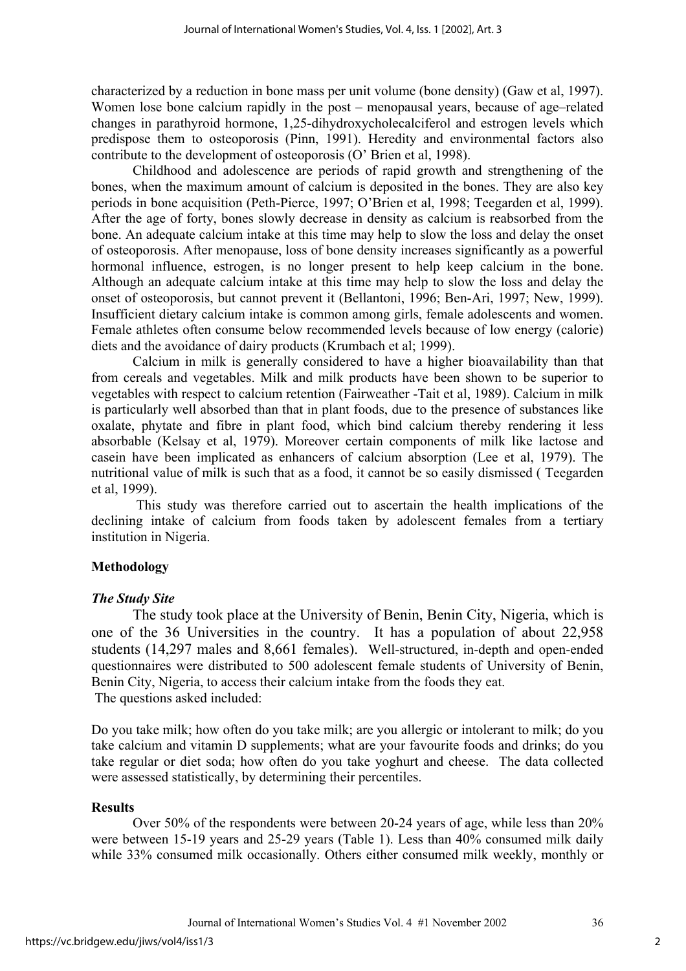characterized by a reduction in bone mass per unit volume (bone density) (Gaw et al, 1997). Women lose bone calcium rapidly in the post – menopausal years, because of age–related changes in parathyroid hormone, 1,25-dihydroxycholecalciferol and estrogen levels which predispose them to osteoporosis (Pinn, 1991). Heredity and environmental factors also contribute to the development of osteoporosis (O' Brien et al, 1998).

Childhood and adolescence are periods of rapid growth and strengthening of the bones, when the maximum amount of calcium is deposited in the bones. They are also key periods in bone acquisition (Peth-Pierce, 1997; O'Brien et al, 1998; Teegarden et al, 1999). After the age of forty, bones slowly decrease in density as calcium is reabsorbed from the bone. An adequate calcium intake at this time may help to slow the loss and delay the onset of osteoporosis. After menopause, loss of bone density increases significantly as a powerful hormonal influence, estrogen, is no longer present to help keep calcium in the bone. Although an adequate calcium intake at this time may help to slow the loss and delay the onset of osteoporosis, but cannot prevent it (Bellantoni, 1996; Ben-Ari, 1997; New, 1999). Insufficient dietary calcium intake is common among girls, female adolescents and women. Female athletes often consume below recommended levels because of low energy (calorie) diets and the avoidance of dairy products (Krumbach et al; 1999).

Calcium in milk is generally considered to have a higher bioavailability than that from cereals and vegetables. Milk and milk products have been shown to be superior to vegetables with respect to calcium retention (Fairweather -Tait et al, 1989). Calcium in milk is particularly well absorbed than that in plant foods, due to the presence of substances like oxalate, phytate and fibre in plant food, which bind calcium thereby rendering it less absorbable (Kelsay et al, 1979). Moreover certain components of milk like lactose and casein have been implicated as enhancers of calcium absorption (Lee et al, 1979). The nutritional value of milk is such that as a food, it cannot be so easily dismissed ( Teegarden et al, 1999).

 This study was therefore carried out to ascertain the health implications of the declining intake of calcium from foods taken by adolescent females from a tertiary institution in Nigeria.

#### **Methodology**

#### *The Study Site*

The study took place at the University of Benin, Benin City, Nigeria, which is one of the 36 Universities in the country. It has a population of about 22,958 students (14,297 males and 8,661 females). Well-structured, in-depth and open-ended questionnaires were distributed to 500 adolescent female students of University of Benin, Benin City, Nigeria, to access their calcium intake from the foods they eat. The questions asked included:

Do you take milk; how often do you take milk; are you allergic or intolerant to milk; do you take calcium and vitamin D supplements; what are your favourite foods and drinks; do you take regular or diet soda; how often do you take yoghurt and cheese. The data collected were assessed statistically, by determining their percentiles.

#### **Results**

Over 50% of the respondents were between 20-24 years of age, while less than 20% were between 15-19 years and 25-29 years (Table 1). Less than 40% consumed milk daily while 33% consumed milk occasionally. Others either consumed milk weekly, monthly or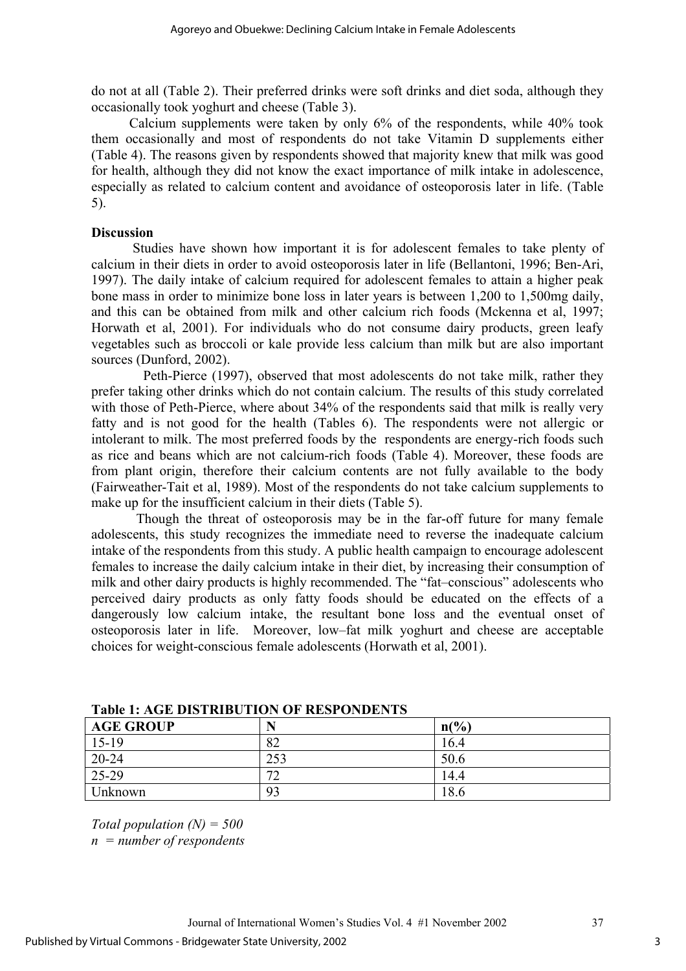do not at all (Table 2). Their preferred drinks were soft drinks and diet soda, although they occasionally took yoghurt and cheese (Table 3).

 Calcium supplements were taken by only 6% of the respondents, while 40% took them occasionally and most of respondents do not take Vitamin D supplements either (Table 4). The reasons given by respondents showed that majority knew that milk was good for health, although they did not know the exact importance of milk intake in adolescence, especially as related to calcium content and avoidance of osteoporosis later in life. (Table 5).

#### **Discussion**

Studies have shown how important it is for adolescent females to take plenty of calcium in their diets in order to avoid osteoporosis later in life (Bellantoni, 1996; Ben-Ari, 1997). The daily intake of calcium required for adolescent females to attain a higher peak bone mass in order to minimize bone loss in later years is between 1,200 to 1,500mg daily, and this can be obtained from milk and other calcium rich foods (Mckenna et al, 1997; Horwath et al, 2001). For individuals who do not consume dairy products, green leafy vegetables such as broccoli or kale provide less calcium than milk but are also important sources (Dunford, 2002).

 Peth-Pierce (1997), observed that most adolescents do not take milk, rather they prefer taking other drinks which do not contain calcium. The results of this study correlated with those of Peth-Pierce, where about 34% of the respondents said that milk is really very fatty and is not good for the health (Tables 6). The respondents were not allergic or intolerant to milk. The most preferred foods by the respondents are energy-rich foods such as rice and beans which are not calcium-rich foods (Table 4). Moreover, these foods are from plant origin, therefore their calcium contents are not fully available to the body (Fairweather-Tait et al, 1989). Most of the respondents do not take calcium supplements to make up for the insufficient calcium in their diets (Table 5).

 Though the threat of osteoporosis may be in the far-off future for many female adolescents, this study recognizes the immediate need to reverse the inadequate calcium intake of the respondents from this study. A public health campaign to encourage adolescent females to increase the daily calcium intake in their diet, by increasing their consumption of milk and other dairy products is highly recommended. The "fat–conscious" adolescents who perceived dairy products as only fatty foods should be educated on the effects of a dangerously low calcium intake, the resultant bone loss and the eventual onset of osteoporosis later in life. Moreover, low–fat milk yoghurt and cheese are acceptable choices for weight-conscious female adolescents (Horwath et al, 2001).

| THEIR IS THOSE DIRECTION OF INSTITUTION |     |                |  |  |
|-----------------------------------------|-----|----------------|--|--|
| <b>AGE GROUP</b>                        | N   | $n\frac{6}{6}$ |  |  |
| $15-19$                                 | 82  | 16.4           |  |  |
| $20 - 24$                               | 253 | 50.6           |  |  |
| 25-29                                   | 70  | 14.4           |  |  |
| Unknown                                 | 93  | 18.6           |  |  |

**Table 1: AGE DISTRIBUTION OF RESPONDENTS** 

*Total population (N) = 500 n = number of respondents*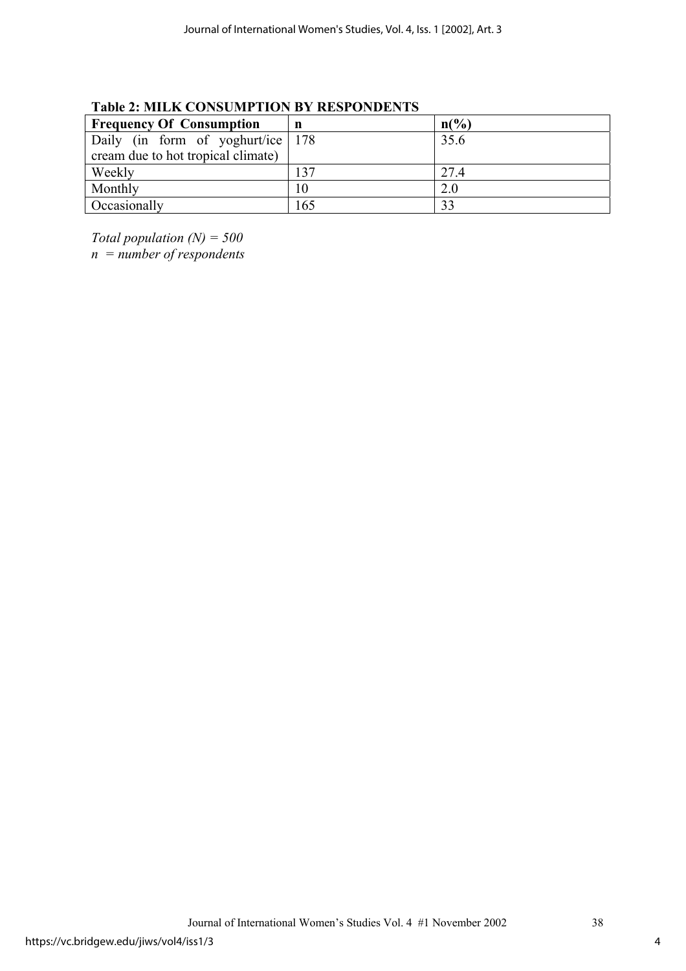| <b>Frequency Of Consumption</b>    | n   | $n\binom{0}{0}$ |
|------------------------------------|-----|-----------------|
|                                    |     |                 |
| Daily (in form of yoghurt/ice 178  |     | 35.6            |
| cream due to hot tropical climate) |     |                 |
| Weekly                             | 137 | 27.4            |
| Monthly                            | 10  | 2.0             |
| <b>Occasionally</b>                | 165 | 33              |

**Table 2: MILK CONSUMPTION BY RESPONDENTS** 

*Total population (N) = 500* 

*n = number of respondents*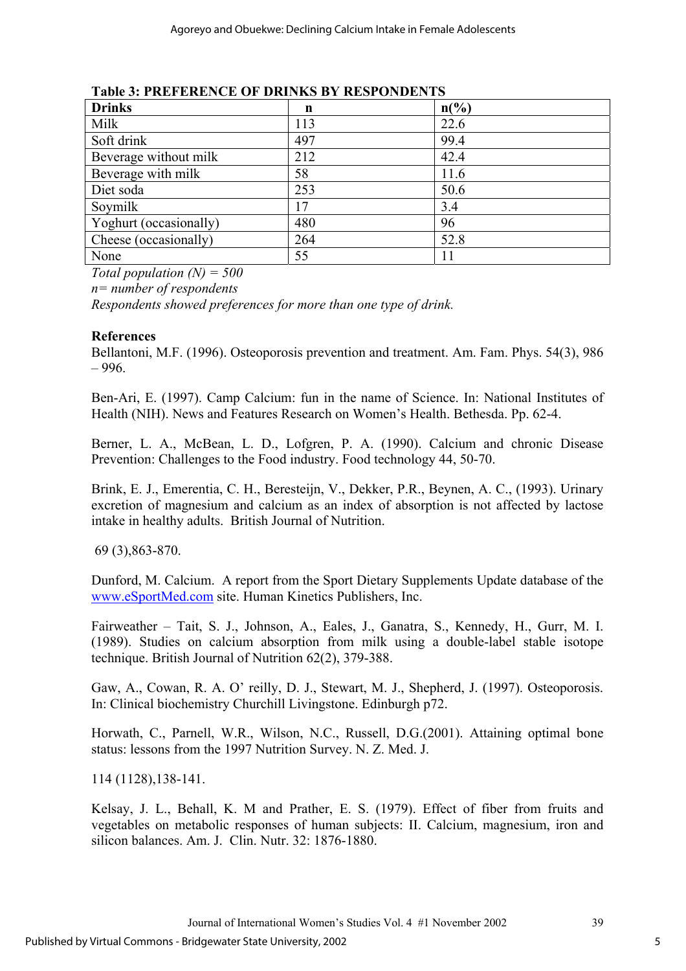| <b>Drinks</b>          | n   | $n\binom{0}{0}$ |
|------------------------|-----|-----------------|
| Milk                   | 113 | 22.6            |
| Soft drink             | 497 | 99.4            |
| Beverage without milk  | 212 | 42.4            |
| Beverage with milk     | 58  | 11.6            |
| Diet soda              | 253 | 50.6            |
| Soymilk                | 17  | 3.4             |
| Yoghurt (occasionally) | 480 | 96              |
| Cheese (occasionally)  | 264 | 52.8            |
| None                   | 55  | 11              |

**Table 3: PREFERENCE OF DRINKS BY RESPONDENTS** 

*Total population (N) = 500* 

*n= number of respondents* 

*Respondents showed preferences for more than one type of drink.* 

#### **References**

Bellantoni, M.F. (1996). Osteoporosis prevention and treatment. Am. Fam. Phys. 54(3), 986 – 996.

Ben-Ari, E. (1997). Camp Calcium: fun in the name of Science. In: National Institutes of Health (NIH). News and Features Research on Women's Health. Bethesda. Pp. 62-4.

Berner, L. A., McBean, L. D., Lofgren, P. A. (1990). Calcium and chronic Disease Prevention: Challenges to the Food industry. Food technology 44, 50-70.

Brink, E. J., Emerentia, C. H., Beresteijn, V., Dekker, P.R., Beynen, A. C., (1993). Urinary excretion of magnesium and calcium as an index of absorption is not affected by lactose intake in healthy adults. British Journal of Nutrition.

69 (3),863-870.

Dunford, M. Calcium. A report from the Sport Dietary Supplements Update database of the www.eSportMed.com site. Human Kinetics Publishers, Inc.

Fairweather – Tait, S. J., Johnson, A., Eales, J., Ganatra, S., Kennedy, H., Gurr, M. I. (1989). Studies on calcium absorption from milk using a double-label stable isotope technique. British Journal of Nutrition 62(2), 379-388.

Gaw, A., Cowan, R. A. O' reilly, D. J., Stewart, M. J., Shepherd, J. (1997). Osteoporosis. In: Clinical biochemistry Churchill Livingstone. Edinburgh p72.

Horwath, C., Parnell, W.R., Wilson, N.C., Russell, D.G.(2001). Attaining optimal bone status: lessons from the 1997 Nutrition Survey. N. Z. Med. J.

114 (1128),138-141.

Kelsay, J. L., Behall, K. M and Prather, E. S. (1979). Effect of fiber from fruits and vegetables on metabolic responses of human subjects: II. Calcium, magnesium, iron and silicon balances. Am. J. Clin. Nutr. 32: 1876-1880.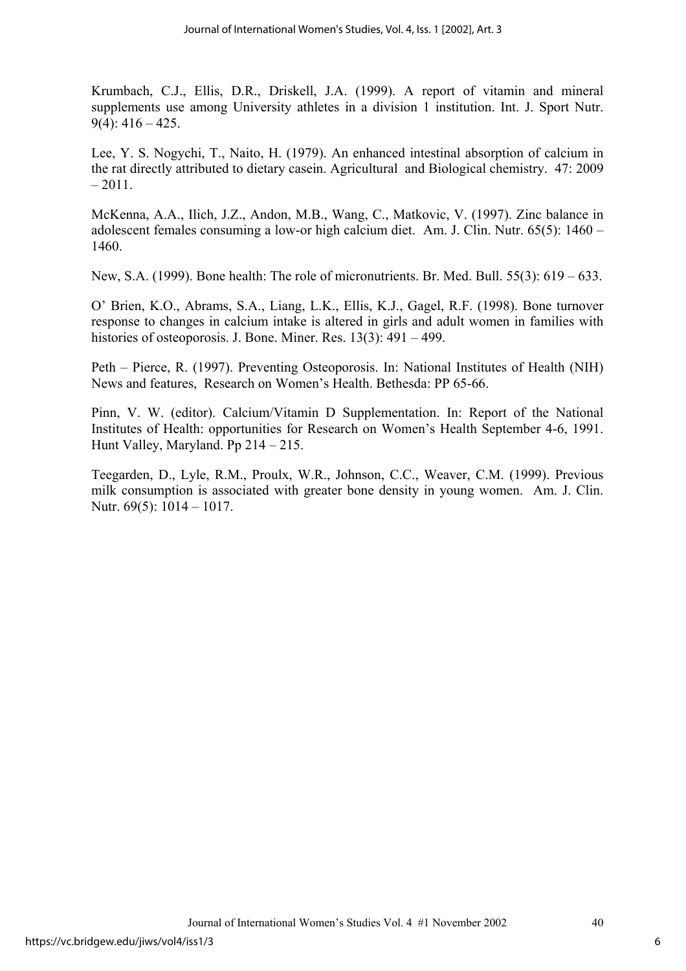Krumbach, C.J., Ellis, D.R., Driskell, J.A. (1999). A report of vitamin and mineral supplements use among University athletes in a division 1 institution. Int. J. Sport Nutr.  $9(4)$ : 416 – 425.

Lee, Y. S. Nogychi, T., Naito, H. (1979). An enhanced intestinal absorption of calcium in the rat directly attributed to dietary casein. Agricultural and Biological chemistry. 47: 2009  $-2011$ 

McKenna, A.A., Ilich, J.Z., Andon, M.B., Wang, C., Matkovic, V. (1997). Zinc balance in adolescent females consuming a low-or high calcium diet. Am. J. Clin. Nutr. 65(5): 1460 – 1460.

New, S.A. (1999). Bone health: The role of micronutrients. Br. Med. Bull. 55(3): 619 – 633.

O' Brien, K.O., Abrams, S.A., Liang, L.K., Ellis, K.J., Gagel, R.F. (1998). Bone turnover response to changes in calcium intake is altered in girls and adult women in families with histories of osteoporosis. J. Bone. Miner. Res. 13(3): 491 – 499.

Peth – Pierce, R. (1997). Preventing Osteoporosis. In: National Institutes of Health (NIH) News and features, Research on Women's Health. Bethesda: PP 65-66.

Pinn, V. W. (editor). Calcium/Vitamin D Supplementation. In: Report of the National Institutes of Health: opportunities for Research on Women's Health September 4-6, 1991. Hunt Valley, Maryland. Pp 214 – 215.

Teegarden, D., Lyle, R.M., Proulx, W.R., Johnson, C.C., Weaver, C.M. (1999). Previous milk consumption is associated with greater bone density in young women. Am. J. Clin. Nutr. 69(5): 1014 – 1017.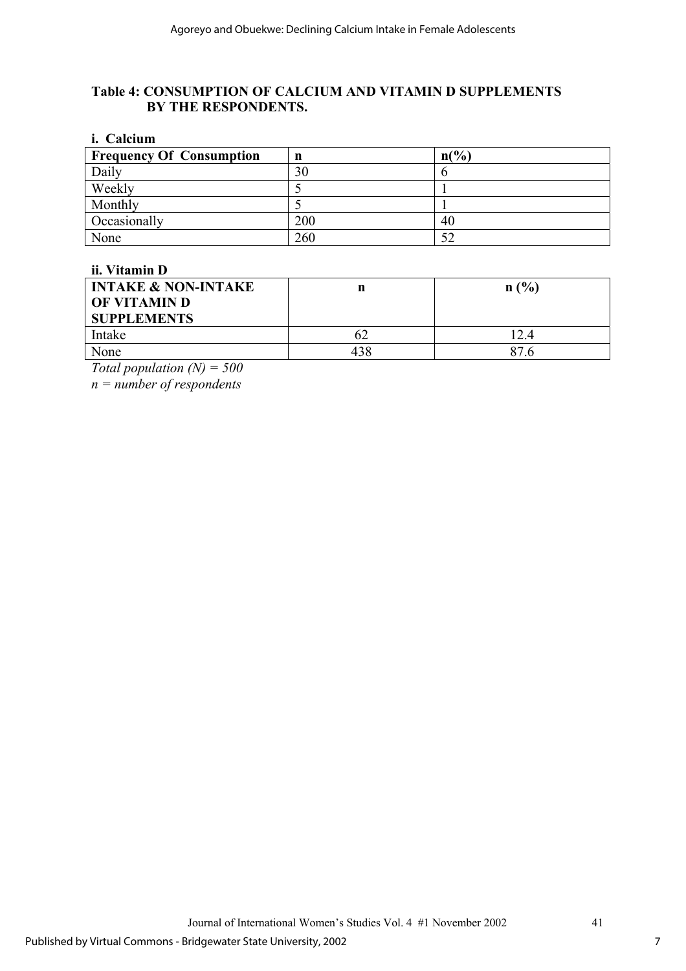# **Table 4: CONSUMPTION OF CALCIUM AND VITAMIN D SUPPLEMENTS BY THE RESPONDENTS.**

| <i>i.</i> Calcium               |     |                 |  |  |
|---------------------------------|-----|-----------------|--|--|
| <b>Frequency Of Consumption</b> | n   | $n\binom{0}{0}$ |  |  |
| Daily                           | 30  |                 |  |  |
| Weekly                          |     |                 |  |  |
| Monthly                         |     |                 |  |  |
| Occasionally                    | 200 | 40              |  |  |
| None                            | 260 | 52              |  |  |

#### **ii. Vitamin D**

| <b>INTAKE &amp; NON-INTAKE</b><br><b>OF VITAMIN D</b><br><b>SUPPLEMENTS</b> | n   | n(%  |
|-----------------------------------------------------------------------------|-----|------|
| Intake                                                                      | 62  | 12.4 |
| None                                                                        | 438 | 87.6 |
|                                                                             |     |      |

*Total population (N) = 500* 

*n = number of respondents*